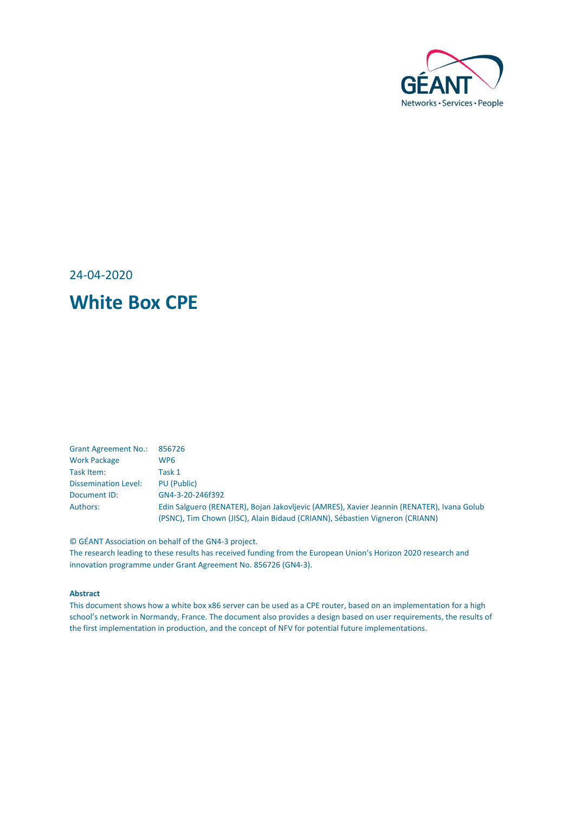

24-04-2020

## **White Box CPE**

| <b>Grant Agreement No.:</b> | 856726                                                                                    |
|-----------------------------|-------------------------------------------------------------------------------------------|
| <b>Work Package</b>         | WP6                                                                                       |
| Task Item:                  | Task 1                                                                                    |
| <b>Dissemination Level:</b> | PU (Public)                                                                               |
| Document ID:                | GN4-3-20-246f392                                                                          |
| Authors:                    | Edin Salguero (RENATER), Bojan Jakovljevic (AMRES), Xavier Jeannin (RENATER), Ivana Golub |
|                             | (PSNC), Tim Chown (JISC), Alain Bidaud (CRIANN), Sébastien Vigneron (CRIANN)              |

© GÉANT Association on behalf of the GN4-3 project.

The research leading to these results has received funding from the European Union's Horizon 2020 research and innovation programme under Grant Agreement No. 856726 (GN4-3).

#### **Abstract**

This document shows how a white box x86 server can be used as a CPE router, based on an implementation for a high school's network in Normandy, France. The document also provides a design based on user requirements, the results of the first implementation in production, and the concept of NFV for potential future implementations.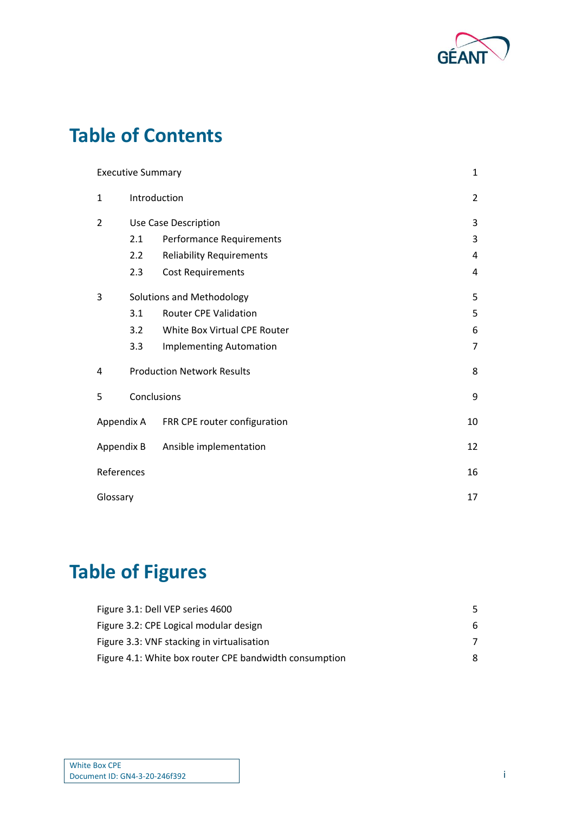

# **Table of Contents**

|                | <b>Executive Summary</b>  |                                        | $\mathbf{1}$ |
|----------------|---------------------------|----------------------------------------|--------------|
| 1              | Introduction              |                                        |              |
| $\overline{2}$ |                           | <b>Use Case Description</b>            | 3            |
|                | 2.1                       | Performance Requirements               | 3            |
|                | 2.2                       | <b>Reliability Requirements</b>        | 4            |
|                | 2.3                       | <b>Cost Requirements</b>               | 4            |
| 3              | Solutions and Methodology |                                        | 5            |
|                | 3.1                       | <b>Router CPE Validation</b>           | 5            |
|                | 3.2                       | White Box Virtual CPE Router           | 6            |
|                | 3.3                       | <b>Implementing Automation</b>         | 7            |
| 4              |                           | <b>Production Network Results</b><br>8 |              |
| 5              |                           | Conclusions<br>9                       |              |
| Appendix A     |                           | FRR CPE router configuration           | 10           |
| Appendix B     |                           | Ansible implementation                 | 12           |
| References     |                           |                                        | 16           |
| Glossary       |                           |                                        | 17           |

# **Table of Figures**

| Figure 3.1: Dell VEP series 4600                       | 5 |
|--------------------------------------------------------|---|
| Figure 3.2: CPE Logical modular design                 | 6 |
| Figure 3.3: VNF stacking in virtualisation             |   |
| Figure 4.1: White box router CPE bandwidth consumption | 8 |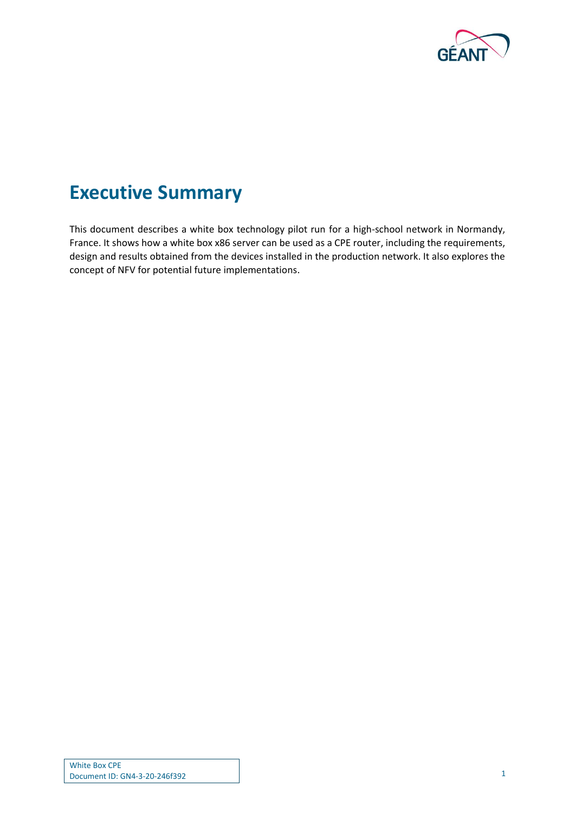

## <span id="page-2-0"></span>**Executive Summary**

This document describes a white box technology pilot run for a high-school network in Normandy, France. It shows how a white box x86 server can be used as a CPE router, including the requirements, design and results obtained from the devices installed in the production network. It also explores the concept of NFV for potential future implementations.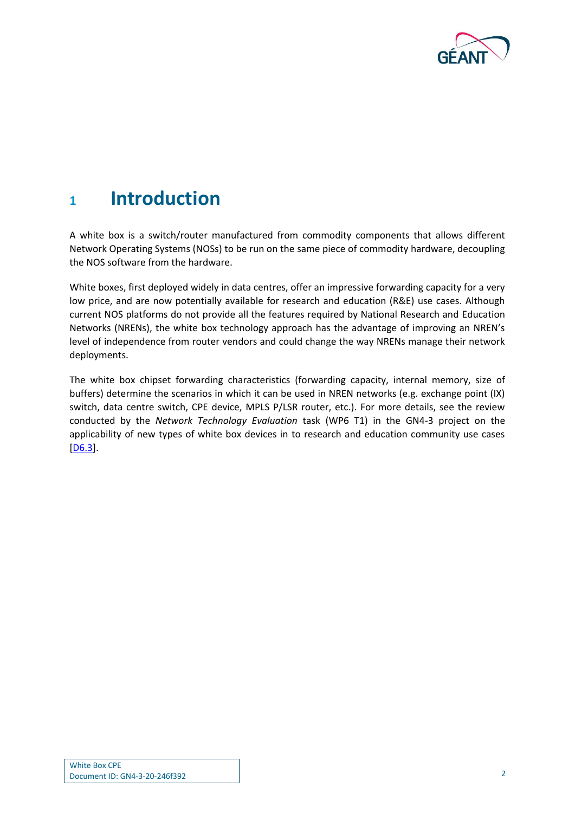

## <span id="page-3-0"></span>**<sup>1</sup> Introduction**

A white box is a switch/router manufactured from commodity components that allows different Network Operating Systems (NOSs) to be run on the same piece of commodity hardware, decoupling the NOS software from the hardware.

White boxes, first deployed widely in data centres, offer an impressive forwarding capacity for a very low price, and are now potentially available for research and education (R&E) use cases. Although current NOS platforms do not provide all the features required by National Research and Education Networks (NRENs), the white box technology approach has the advantage of improving an NREN's level of independence from router vendors and could change the way NRENs manage their network deployments.

The white box chipset forwarding characteristics (forwarding capacity, internal memory, size of buffers) determine the scenarios in which it can be used in NREN networks (e.g. exchange point (IX) switch, data centre switch, CPE device, MPLS P/LSR router, etc.). For more details, see the review conducted by the *Network Technology Evaluation* task (WP6 T1) in the GN4-3 project on the applicability of new types of white box devices in to research and education community use cases [\[D6.3\]](#page-17-1).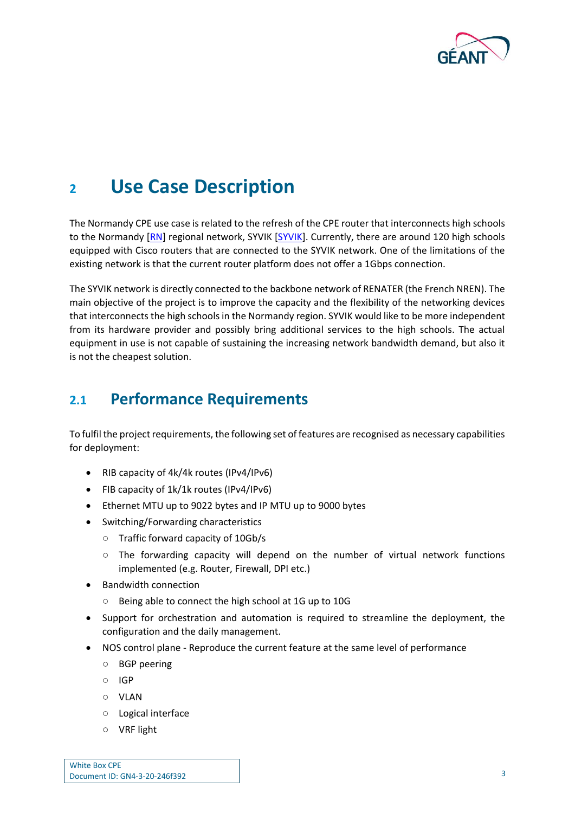

## <span id="page-4-0"></span>**<sup>2</sup> Use Case Description**

The Normandy CPE use case is related to the refresh of the CPE router that interconnects high schools to the Normandy [\[RN\]](#page-17-2) regional network, SYVIK [\[SYVIK\]](#page-17-3). Currently, there are around 120 high schools equipped with Cisco routers that are connected to the SYVIK network. One of the limitations of the existing network is that the current router platform does not offer a 1Gbps connection.

The SYVIK network is directly connected to the backbone network of RENATER (the French NREN). The main objective of the project is to improve the capacity and the flexibility of the networking devices that interconnects the high schools in the Normandy region. SYVIK would like to be more independent from its hardware provider and possibly bring additional services to the high schools. The actual equipment in use is not capable of sustaining the increasing network bandwidth demand, but also it is not the cheapest solution.

#### <span id="page-4-1"></span>**2.1 Performance Requirements**

To fulfil the project requirements, the following set of features are recognised as necessary capabilities for deployment:

- RIB capacity of 4k/4k routes (IPv4/IPv6)
- FIB capacity of 1k/1k routes (IPv4/IPv6)
- Ethernet MTU up to 9022 bytes and IP MTU up to 9000 bytes
- Switching/Forwarding characteristics
	- Traffic forward capacity of 10Gb/s
	- $\circ$  The forwarding capacity will depend on the number of virtual network functions implemented (e.g. Router, Firewall, DPI etc.)
- Bandwidth connection
	- Being able to connect the high school at 1G up to 10G
- Support for orchestration and automation is required to streamline the deployment, the configuration and the daily management.
- NOS control plane Reproduce the current feature at the same level of performance
	- BGP peering
	- IGP
	- VLAN
	- Logical interface
	- VRF light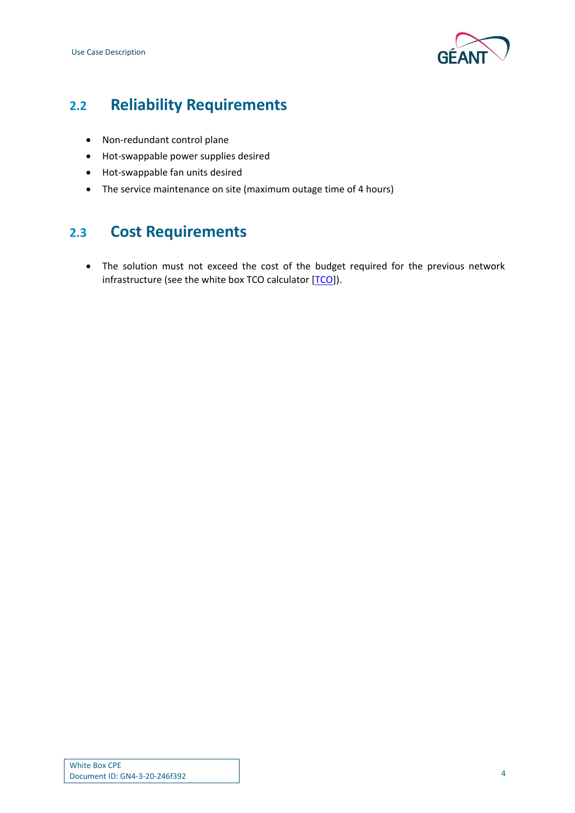

## <span id="page-5-0"></span>**2.2 Reliability Requirements**

- Non-redundant control plane
- Hot-swappable power supplies desired
- Hot-swappable fan units desired
- The service maintenance on site (maximum outage time of 4 hours)

### <span id="page-5-1"></span>**2.3 Cost Requirements**

• The solution must not exceed the cost of the budget required for the previous network infrastructure (see the white box TCO calculator [\[TCO\]](#page-17-4)).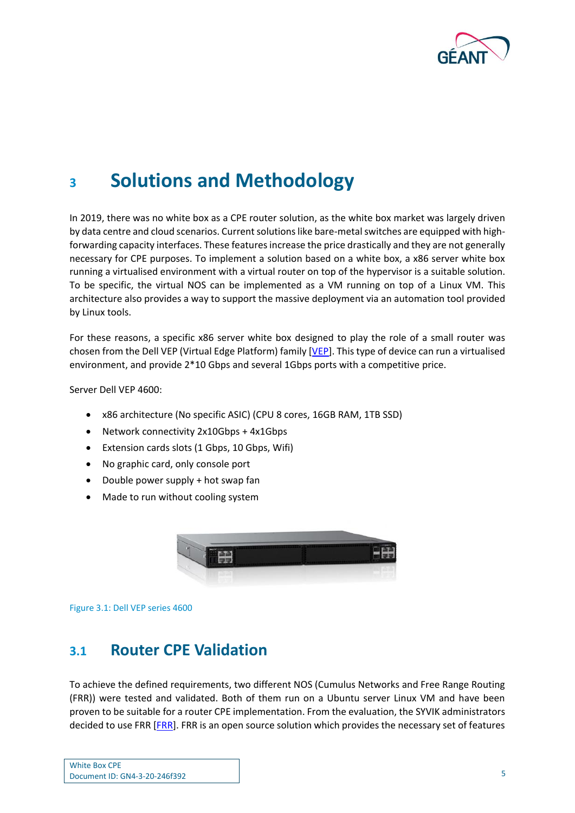

## <span id="page-6-0"></span>**<sup>3</sup> Solutions and Methodology**

In 2019, there was no white box as a CPE router solution, as the white box market was largely driven by data centre and cloud scenarios. Current solutions like bare-metal switches are equipped with highforwarding capacity interfaces. These features increase the price drastically and they are not generally necessary for CPE purposes. To implement a solution based on a white box, a x86 server white box running a virtualised environment with a virtual router on top of the hypervisor is a suitable solution. To be specific, the virtual NOS can be implemented as a VM running on top of a Linux VM. This architecture also provides a way to support the massive deployment via an automation tool provided by Linux tools.

For these reasons, a specific x86 server white box designed to play the role of a small router was chosen from the Dell VEP (Virtual Edge Platform) family [\[VEP\]](#page-17-5). This type of device can run a virtualised environment, and provide 2\*10 Gbps and several 1Gbps ports with a competitive price.

Server Dell VEP 4600:

- x86 architecture (No specific ASIC) (CPU 8 cores, 16GB RAM, 1TB SSD)
- Network connectivity 2x10Gbps + 4x1Gbps
- Extension cards slots (1 Gbps, 10 Gbps, Wifi)
- No graphic card, only console port
- Double power supply + hot swap fan
- Made to run without cooling system



<span id="page-6-2"></span>Figure 3.1: Dell VEP series 4600

### <span id="page-6-1"></span>**3.1 Router CPE Validation**

To achieve the defined requirements, two different NOS (Cumulus Networks and Free Range Routing (FRR)) were tested and validated. Both of them run on a Ubuntu server Linux VM and have been proven to be suitable for a router CPE implementation. From the evaluation, the SYVIK administrators decided to use FRR [\[FRR\]](#page-17-6). FRR is an open source solution which provides the necessary set of features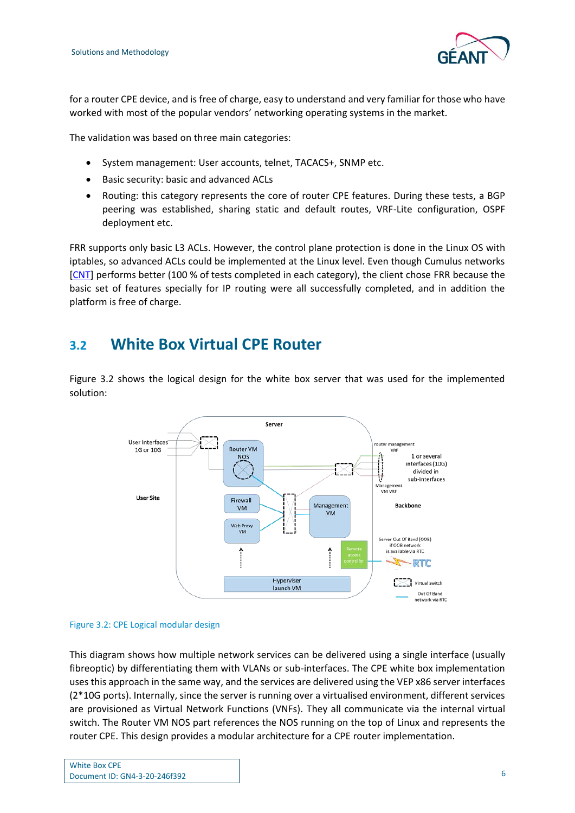

for a router CPE device, and is free of charge, easy to understand and very familiar for those who have worked with most of the popular vendors' networking operating systems in the market.

The validation was based on three main categories:

- System management: User accounts, telnet, TACACS+, SNMP etc.
- Basic security: basic and advanced ACLs
- Routing: this category represents the core of router CPE features. During these tests, a BGP peering was established, sharing static and default routes, VRF-Lite configuration, OSPF deployment etc.

FRR supports only basic L3 ACLs. However, the control plane protection is done in the Linux OS with iptables, so advanced ACLs could be implemented at the Linux level. Even though Cumulus networks [\[CNT\]](#page-17-7) performs better (100 % of tests completed in each category), the client chose FRR because the basic set of features specially for IP routing were all successfully completed, and in addition the platform is free of charge.

#### <span id="page-7-0"></span>**3.2 White Box Virtual CPE Router**



[Figure 3.2](#page-7-1) shows the logical design for the white box server that was used for the implemented solution:

#### <span id="page-7-1"></span>Figure 3.2: CPE Logical modular design

This diagram shows how multiple network services can be delivered using a single interface (usually fibreoptic) by differentiating them with VLANs or sub-interfaces. The CPE white box implementation uses this approach in the same way, and the services are delivered using the VEP x86 server interfaces (2\*10G ports). Internally, since the server is running over a virtualised environment, different services are provisioned as Virtual Network Functions (VNFs). They all communicate via the internal virtual switch. The Router VM NOS part references the NOS running on the top of Linux and represents the router CPE. This design provides a modular architecture for a CPE router implementation.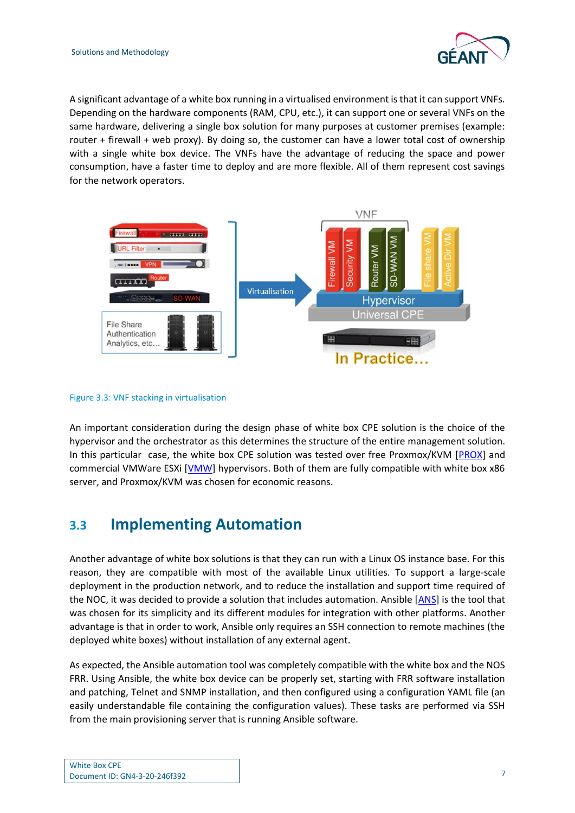

A significant advantage of a white box running in a virtualised environment is that it can support VNFs. Depending on the hardware components (RAM, CPU, etc.), it can support one or several VNFs on the same hardware, delivering a single box solution for many purposes at customer premises (example: router + firewall + web proxy). By doing so, the customer can have a lower total cost of ownership with a single white box device. The VNFs have the advantage of reducing the space and power consumption, have a faster time to deploy and are more flexible. All of them represent cost savings for the network operators.



<span id="page-8-1"></span>

An important consideration during the design phase of white box CPE solution is the choice of the hypervisor and the orchestrator as this determines the structure of the entire management solution. In this particular case, the white box CPE solution was tested over free Proxmox/KVM [\[PROX\]](#page-17-8) and commercial VMWare ESXi [\[VMW\]](#page-17-9) hypervisors. Both of them are fully compatible with white box x86 server, and Proxmox/KVM was chosen for economic reasons.

### <span id="page-8-0"></span>**3.3 Implementing Automation**

Another advantage of white box solutions is that they can run with a Linux OS instance base. For this reason, they are compatible with most of the available Linux utilities. To support a large-scale deployment in the production network, and to reduce the installation and support time required of the NOC, it was decided to provide a solution that includes automation. Ansible [\[ANS\]](#page-17-10) is the tool that was chosen for its simplicity and its different modules for integration with other platforms. Another advantage is that in order to work, Ansible only requires an SSH connection to remote machines (the deployed white boxes) without installation of any external agent.

As expected, the Ansible automation tool was completely compatible with the white box and the NOS FRR. Using Ansible, the white box device can be properly set, starting with FRR software installation and patching, Telnet and SNMP installation, and then configured using a configuration YAML file (an easily understandable file containing the configuration values). These tasks are performed via SSH from the main provisioning server that is running Ansible software.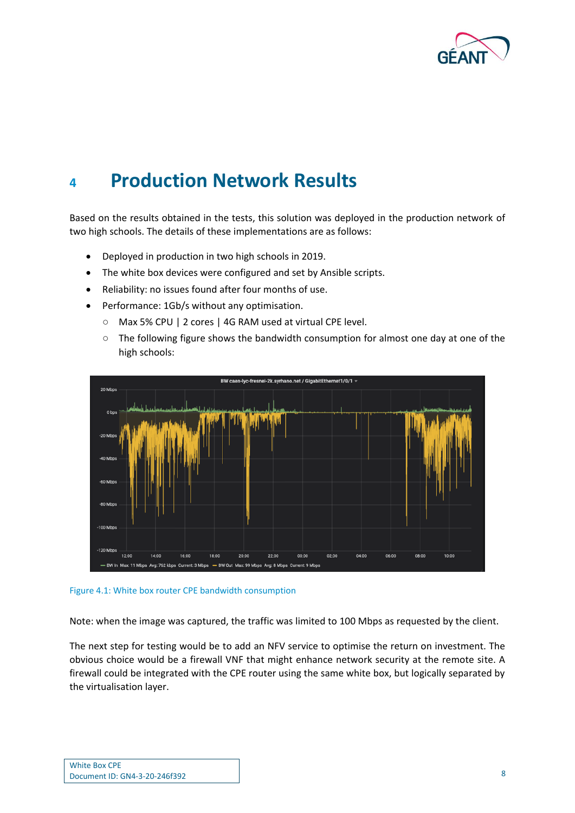

## <span id="page-9-0"></span>**<sup>4</sup> Production Network Results**

Based on the results obtained in the tests, this solution was deployed in the production network of two high schools. The details of these implementations are as follows:

- Deployed in production in two high schools in 2019.
- The white box devices were configured and set by Ansible scripts.
- Reliability: no issues found after four months of use.
- Performance: 1Gb/s without any optimisation.
	- Max 5% CPU | 2 cores | 4G RAM used at virtual CPE level.
	- The following figure shows the bandwidth consumption for almost one day at one of the high schools:



#### <span id="page-9-1"></span>Figure 4.1: White box router CPE bandwidth consumption

Note: when the image was captured, the traffic was limited to 100 Mbps as requested by the client.

The next step for testing would be to add an NFV service to optimise the return on investment. The obvious choice would be a firewall VNF that might enhance network security at the remote site. A firewall could be integrated with the CPE router using the same white box, but logically separated by the virtualisation layer.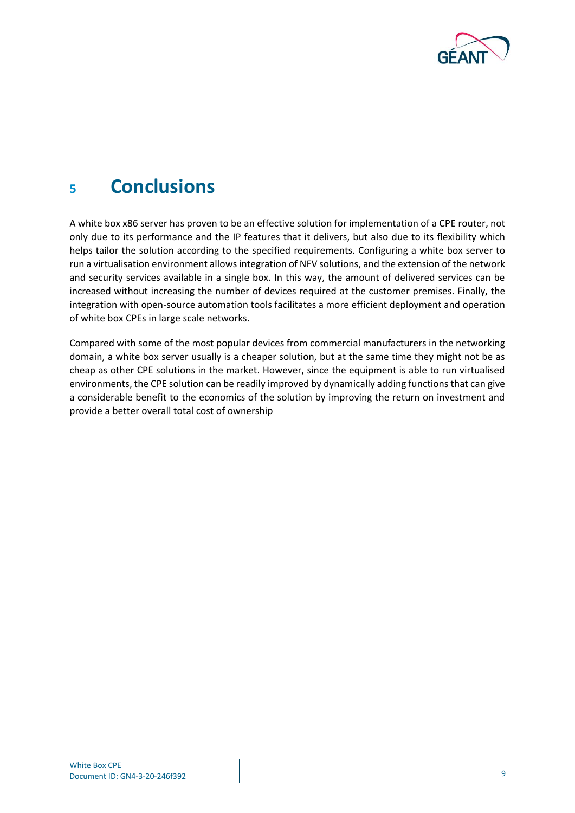

## <span id="page-10-0"></span>**<sup>5</sup> Conclusions**

A white box x86 server has proven to be an effective solution for implementation of a CPE router, not only due to its performance and the IP features that it delivers, but also due to its flexibility which helps tailor the solution according to the specified requirements. Configuring a white box server to run a virtualisation environment allows integration of NFV solutions, and the extension of the network and security services available in a single box. In this way, the amount of delivered services can be increased without increasing the number of devices required at the customer premises. Finally, the integration with open-source automation tools facilitates a more efficient deployment and operation of white box CPEs in large scale networks.

Compared with some of the most popular devices from commercial manufacturers in the networking domain, a white box server usually is a cheaper solution, but at the same time they might not be as cheap as other CPE solutions in the market. However, since the equipment is able to run virtualised environments, the CPE solution can be readily improved by dynamically adding functions that can give a considerable benefit to the economics of the solution by improving the return on investment and provide a better overall total cost of ownership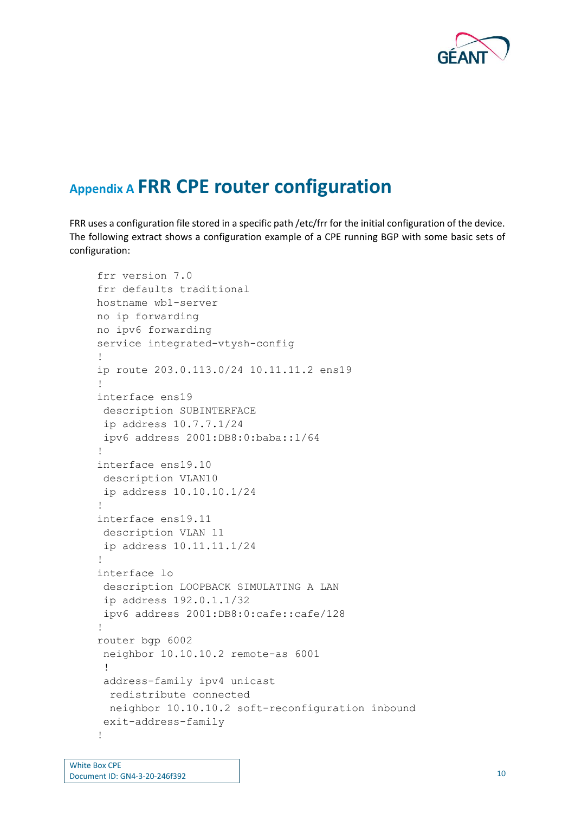

## <span id="page-11-0"></span>**Appendix A FRR CPE router configuration**

FRR uses a configuration file stored in a specific path /etc/frr for the initial configuration of the device. The following extract shows a configuration example of a CPE running BGP with some basic sets of configuration:

```
frr version 7.0
frr defaults traditional
hostname wb1-server
no ip forwarding
no ipv6 forwarding
service integrated-vtysh-config
!
ip route 203.0.113.0/24 10.11.11.2 ens19
!
interface ens19
 description SUBINTERFACE
 ip address 10.7.7.1/24
 ipv6 address 2001:DB8:0:baba::1/64
!
interface ens19.10
 description VLAN10
 ip address 10.10.10.1/24
!
interface ens19.11
 description VLAN 11
 ip address 10.11.11.1/24
!
interface lo
 description LOOPBACK SIMULATING A LAN
 ip address 192.0.1.1/32
 ipv6 address 2001:DB8:0:cafe::cafe/128
!
router bgp 6002
 neighbor 10.10.10.2 remote-as 6001
 !
 address-family ipv4 unicast
   redistribute connected
   neighbor 10.10.10.2 soft-reconfiguration inbound
 exit-address-family
!
```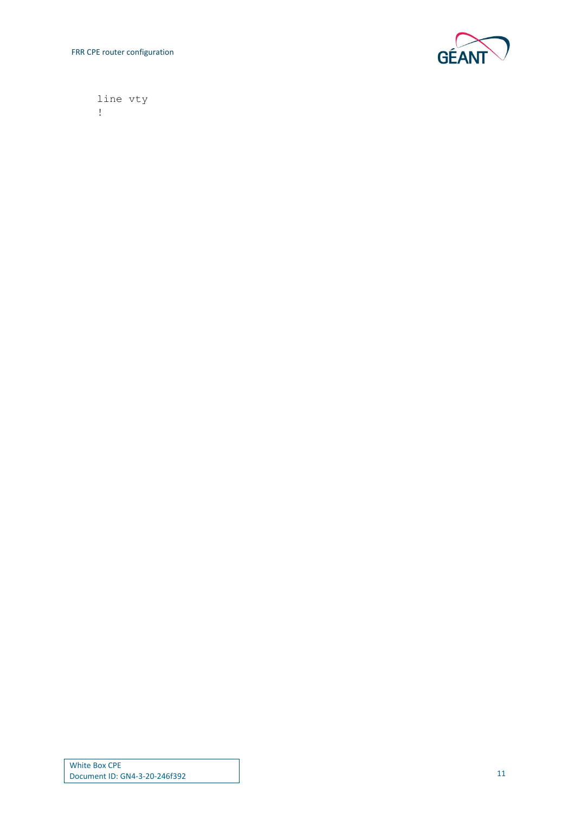FRR CPE router configuration



line vty !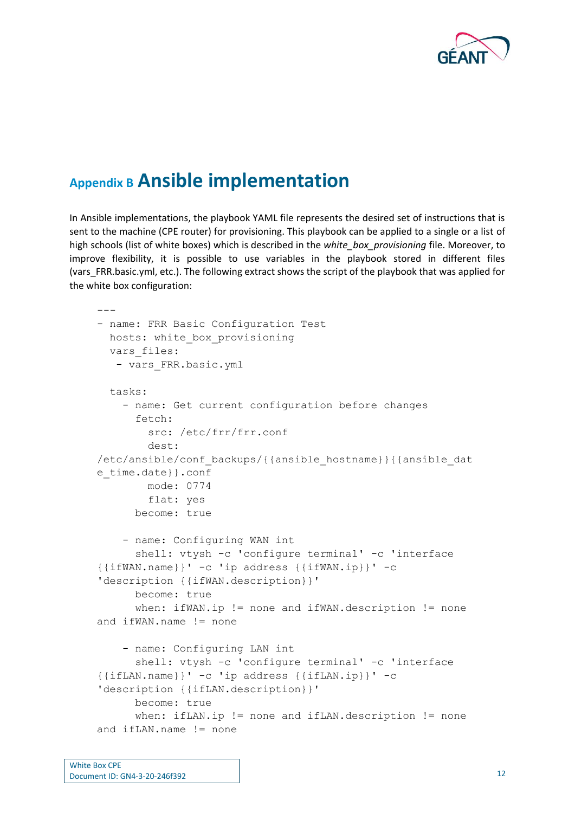

## <span id="page-13-0"></span>**Appendix B Ansible implementation**

In Ansible implementations, the playbook YAML file represents the desired set of instructions that is sent to the machine (CPE router) for provisioning. This playbook can be applied to a single or a list of high schools (list of white boxes) which is described in the *white\_box\_provisioning* file. Moreover, to improve flexibility, it is possible to use variables in the playbook stored in different files (vars\_FRR.basic.yml, etc.). The following extract shows the script of the playbook that was applied for the white box configuration:

```
---- name: FRR Basic Configuration Test
 hosts: white box provisioning
 vars files:
  - vars FRR.basic.yml
   tasks:
     - name: Get current configuration before changes
       fetch:
         src: /etc/frr/frr.conf
         dest: 
/etc/ansible/conf_backups/{{ansible_hostname}}{{ansible_dat
e time.date}}.conf
         mode: 0774
         flat: yes
       become: true
     - name: Configuring WAN int
      shell: vtysh -c 'configure terminal' -c 'interface
{{ifWAN.name}}' -c 'ip address {{ifWAN.ip}}' -c 
'description {{ifWAN.description}}'
       become: true
      when: ifWAN.ip != none and ifWAN.description != none
and ifWAN.name != none
     - name: Configuring LAN int 
      shell: vtysh -c 'configure terminal' -c 'interface
{{ifLAN.name}}' -c 'ip address {{ifLAN.ip}}' -c 
'description {{ifLAN.description}}'
       become: true
      when: ifLAN.ip != none and ifLAN.description != none
and ifLAN.name != none
```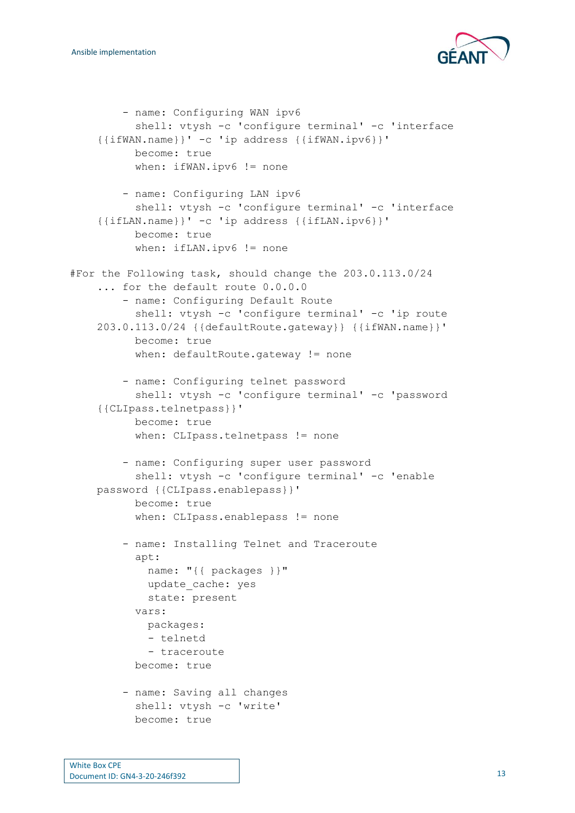

```
 - name: Configuring WAN ipv6
          shell: vtysh -c 'configure terminal' -c 'interface
    {{ifWAN.name}}' -c 'ip address {{ifWAN.ipv6}}'
           become: true
          when: ifWAN.ipv6 != none
         - name: Configuring LAN ipv6
           shell: vtysh -c 'configure terminal' -c 'interface 
    {{ifLAN.name}}' -c 'ip address {{ifLAN.ipv6}}'
           become: true
          when: ifLAN.ipv6 != none
#For the Following task, should change the 203.0.113.0/24
    ... for the default route 0.0.0.0
         - name: Configuring Default Route
           shell: vtysh -c 'configure terminal' -c 'ip route 
    203.0.113.0/24 {{defaultRoute.gateway}} {{ifWAN.name}}'
           become: true
          when: defaultRoute.gateway != none
         - name: Configuring telnet password
           shell: vtysh -c 'configure terminal' -c 'password 
    {{CLIpass.telnetpass}}'
           become: true
          when: CLIpass.telnetpass != none
         - name: Configuring super user password
           shell: vtysh -c 'configure terminal' -c 'enable 
    password {{CLIpass.enablepass}}'
           become: true
           when: CLIpass.enablepass != none
         - name: Installing Telnet and Traceroute
           apt: 
             name: "{{ packages }}" 
             update_cache: yes 
             state: present
           vars:
             packages:
             - telnetd
             - traceroute
           become: true 
         - name: Saving all changes
           shell: vtysh -c 'write'
           become: true
```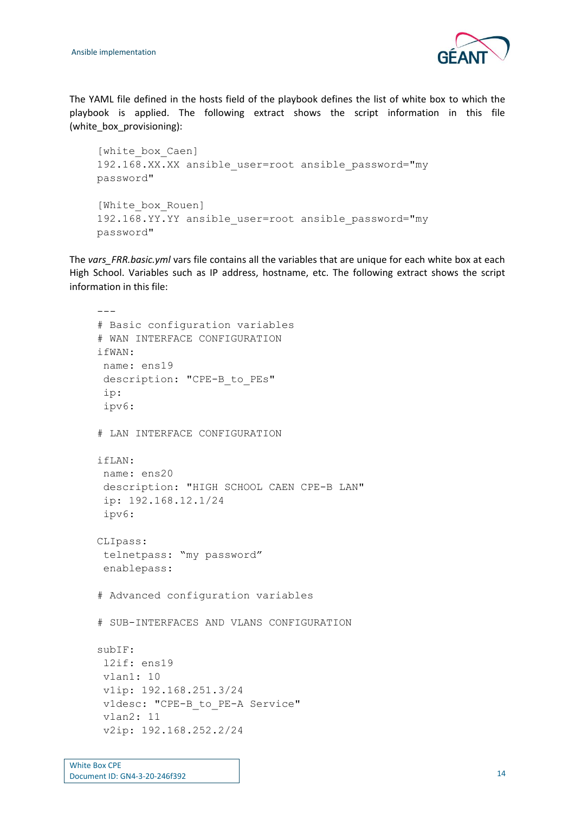

The YAML file defined in the hosts field of the playbook defines the list of white box to which the playbook is applied. The following extract shows the script information in this file (white\_box\_provisioning):

```
[white_box_Caen] 
192.168.XX.XX ansible_user=root ansible_password="my 
password"
[White_box_Rouen]
192.168.YY.YY ansible_user=root ansible_password="my 
password"
```
The vars FRR.basic.yml vars file contains all the variables that are unique for each white box at each High School. Variables such as IP address, hostname, etc. The following extract shows the script information in this file:

```
---# Basic configuration variables
# WAN INTERFACE CONFIGURATION
ifWAN: 
name: ens19
 description: "CPE-B_to_PEs"
 ip: 
 ipv6: 
# LAN INTERFACE CONFIGURATION
ifLAN: 
 name: ens20
 description: "HIGH SCHOOL CAEN CPE-B LAN"
 ip: 192.168.12.1/24
 ipv6:
CLIpass:
 telnetpass: "my password"
 enablepass:
# Advanced configuration variables
# SUB-INTERFACES AND VLANS CONFIGURATION
subIF:
l2if: ens19
vlan1: 10
v1ip: 192.168.251.3/24
 v1desc: "CPE-B to PE-A Service"
 vlan2: 11
 v2ip: 192.168.252.2/24
```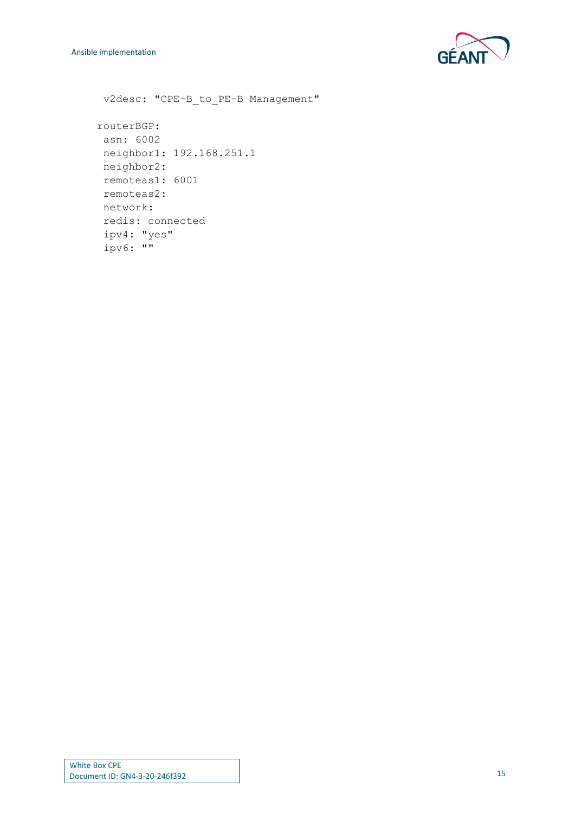

```
v2desc: "CPE-B_to_PE-B Management"
routerBGP:
asn: 6002 
neighbor1: 192.168.251.1
neighbor2: 
remoteas1: 6001
remoteas2: 
network:
redis: connected
ipv4: "yes"
 ipv6: ""
```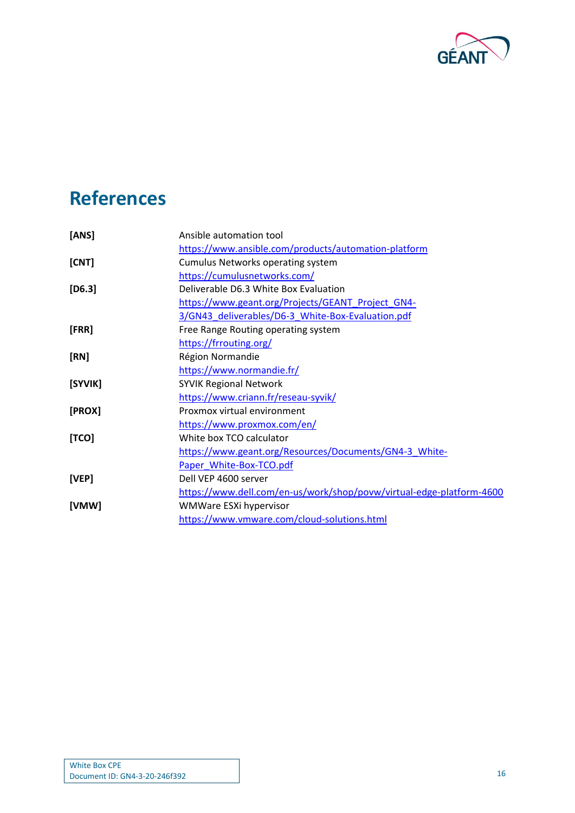

# <span id="page-17-0"></span>**References**

<span id="page-17-10"></span><span id="page-17-9"></span><span id="page-17-8"></span><span id="page-17-7"></span><span id="page-17-6"></span><span id="page-17-5"></span><span id="page-17-4"></span><span id="page-17-3"></span><span id="page-17-2"></span><span id="page-17-1"></span>

| [ANS]    | Ansible automation tool                                              |
|----------|----------------------------------------------------------------------|
|          | https://www.ansible.com/products/automation-platform                 |
| [CNT]    | Cumulus Networks operating system                                    |
|          | https://cumulusnetworks.com/                                         |
| $[D6.3]$ | Deliverable D6.3 White Box Evaluation                                |
|          | https://www.geant.org/Projects/GEANT_Project_GN4-                    |
|          | 3/GN43_deliverables/D6-3_White-Box-Evaluation.pdf                    |
| [FRR]    | Free Range Routing operating system                                  |
|          | https://frrouting.org/                                               |
| [RN]     | Région Normandie                                                     |
|          | https://www.normandie.fr/                                            |
| [SYVIK]  | <b>SYVIK Regional Network</b>                                        |
|          | https://www.criann.fr/reseau-syvik/                                  |
| [PROX]   | Proxmox virtual environment                                          |
|          | https://www.proxmox.com/en/                                          |
| [TCO]    | White box TCO calculator                                             |
|          | https://www.geant.org/Resources/Documents/GN4-3 White-               |
|          | Paper_White-Box-TCO.pdf                                              |
| [VEP]    | Dell VEP 4600 server                                                 |
|          | https://www.dell.com/en-us/work/shop/povw/virtual-edge-platform-4600 |
| [VMW]    | WMWare ESXi hypervisor                                               |
|          | https://www.vmware.com/cloud-solutions.html                          |